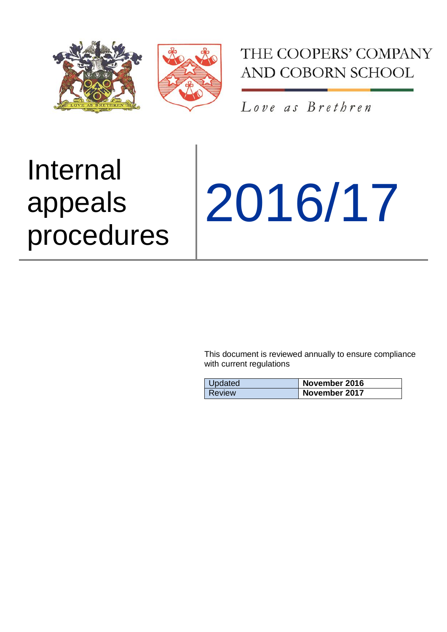

THE COOPERS' COMPANY AND COBORN SCHOOL

Love as Brethren

# Internal appeals procedures

2016/17

This document is reviewed annually to ensure compliance with current regulations

| Updated | November 2016 |
|---------|---------------|
| Review  | November 2017 |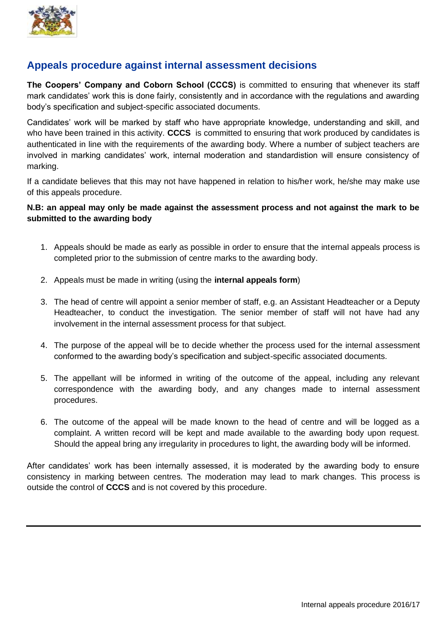

# **Appeals procedure against internal assessment decisions**

**The Coopers' Company and Coborn School (CCCS)** is committed to ensuring that whenever its staff mark candidates' work this is done fairly, consistently and in accordance with the regulations and awarding body's specification and subject-specific associated documents.

Candidates' work will be marked by staff who have appropriate knowledge, understanding and skill, and who have been trained in this activity. **CCCS** is committed to ensuring that work produced by candidates is authenticated in line with the requirements of the awarding body. Where a number of subject teachers are involved in marking candidates' work, internal moderation and standardistion will ensure consistency of marking.

If a candidate believes that this may not have happened in relation to his/her work, he/she may make use of this appeals procedure.

## **N.B: an appeal may only be made against the assessment process and not against the mark to be submitted to the awarding body**

- 1. Appeals should be made as early as possible in order to ensure that the internal appeals process is completed prior to the submission of centre marks to the awarding body.
- 2. Appeals must be made in writing (using the **internal appeals form**)
- 3. The head of centre will appoint a senior member of staff, e.g. an Assistant Headteacher or a Deputy Headteacher, to conduct the investigation. The senior member of staff will not have had any involvement in the internal assessment process for that subject.
- 4. The purpose of the appeal will be to decide whether the process used for the internal assessment conformed to the awarding body's specification and subject-specific associated documents.
- 5. The appellant will be informed in writing of the outcome of the appeal, including any relevant correspondence with the awarding body, and any changes made to internal assessment procedures.
- 6. The outcome of the appeal will be made known to the head of centre and will be logged as a complaint. A written record will be kept and made available to the awarding body upon request. Should the appeal bring any irregularity in procedures to light, the awarding body will be informed.

After candidates' work has been internally assessed, it is moderated by the awarding body to ensure consistency in marking between centres. The moderation may lead to mark changes. This process is outside the control of **CCCS** and is not covered by this procedure.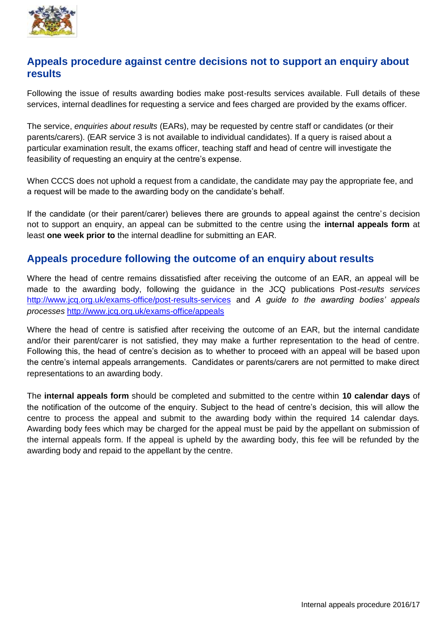

## **Appeals procedure against centre decisions not to support an enquiry about results**

Following the issue of results awarding bodies make post-results services available. Full details of these services, internal deadlines for requesting a service and fees charged are provided by the exams officer.

The service, *enquiries about results* (EARs), may be requested by centre staff or candidates (or their parents/carers). (EAR service 3 is not available to individual candidates). If a query is raised about a particular examination result, the exams officer, teaching staff and head of centre will investigate the feasibility of requesting an enquiry at the centre's expense.

When CCCS does not uphold a request from a candidate, the candidate may pay the appropriate fee, and a request will be made to the awarding body on the candidate's behalf.

If the candidate (or their parent/carer) believes there are grounds to appeal against the centre's decision not to support an enquiry, an appeal can be submitted to the centre using the **internal appeals form** at least **one week prior to** the internal deadline for submitting an EAR.

## **Appeals procedure following the outcome of an enquiry about results**

Where the head of centre remains dissatisfied after receiving the outcome of an EAR, an appeal will be made to the awarding body, following the guidance in the JCQ publications Post*-results services*  <http://www.jcq.org.uk/exams-office/post-results-services> and *A guide to the awarding bodies' appeals processes* <http://www.jcq.org.uk/exams-office/appeals>

Where the head of centre is satisfied after receiving the outcome of an EAR, but the internal candidate and/or their parent/carer is not satisfied, they may make a further representation to the head of centre. Following this, the head of centre's decision as to whether to proceed with an appeal will be based upon the centre's internal appeals arrangements. Candidates or parents/carers are not permitted to make direct representations to an awarding body.

The **internal appeals form** should be completed and submitted to the centre within **10 calendar days** of the notification of the outcome of the enquiry. Subject to the head of centre's decision, this will allow the centre to process the appeal and submit to the awarding body within the required 14 calendar days. Awarding body fees which may be charged for the appeal must be paid by the appellant on submission of the internal appeals form. If the appeal is upheld by the awarding body, this fee will be refunded by the awarding body and repaid to the appellant by the centre.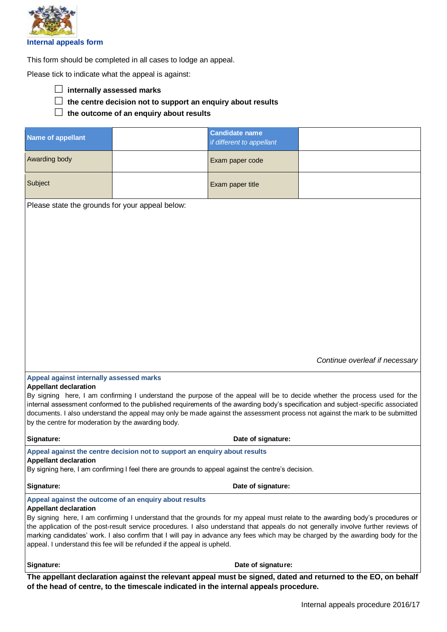

This form should be completed in all cases to lodge an appeal.

Please tick to indicate what the appeal is against:

- **internally assessed marks**
- **the centre decision not to support an enquiry about results**
- **the outcome of an enquiry about results**

| <b>Name of appellant</b>                                                                                                          |                                                                                      | <b>Candidate name</b>     |                                                                                                                              |  |  |
|-----------------------------------------------------------------------------------------------------------------------------------|--------------------------------------------------------------------------------------|---------------------------|------------------------------------------------------------------------------------------------------------------------------|--|--|
|                                                                                                                                   |                                                                                      | if different to appellant |                                                                                                                              |  |  |
|                                                                                                                                   |                                                                                      |                           |                                                                                                                              |  |  |
| Awarding body                                                                                                                     |                                                                                      | Exam paper code           |                                                                                                                              |  |  |
|                                                                                                                                   |                                                                                      |                           |                                                                                                                              |  |  |
| Subject                                                                                                                           |                                                                                      | Exam paper title          |                                                                                                                              |  |  |
|                                                                                                                                   |                                                                                      |                           |                                                                                                                              |  |  |
| Please state the grounds for your appeal below:                                                                                   |                                                                                      |                           |                                                                                                                              |  |  |
|                                                                                                                                   |                                                                                      |                           |                                                                                                                              |  |  |
|                                                                                                                                   |                                                                                      |                           |                                                                                                                              |  |  |
|                                                                                                                                   |                                                                                      |                           |                                                                                                                              |  |  |
|                                                                                                                                   |                                                                                      |                           |                                                                                                                              |  |  |
|                                                                                                                                   |                                                                                      |                           |                                                                                                                              |  |  |
|                                                                                                                                   |                                                                                      |                           |                                                                                                                              |  |  |
|                                                                                                                                   |                                                                                      |                           |                                                                                                                              |  |  |
|                                                                                                                                   |                                                                                      |                           |                                                                                                                              |  |  |
|                                                                                                                                   |                                                                                      |                           |                                                                                                                              |  |  |
|                                                                                                                                   |                                                                                      |                           |                                                                                                                              |  |  |
|                                                                                                                                   |                                                                                      |                           |                                                                                                                              |  |  |
|                                                                                                                                   |                                                                                      |                           |                                                                                                                              |  |  |
|                                                                                                                                   |                                                                                      |                           |                                                                                                                              |  |  |
|                                                                                                                                   |                                                                                      |                           |                                                                                                                              |  |  |
|                                                                                                                                   |                                                                                      |                           |                                                                                                                              |  |  |
|                                                                                                                                   |                                                                                      |                           |                                                                                                                              |  |  |
|                                                                                                                                   |                                                                                      |                           | Continue overleaf if necessary                                                                                               |  |  |
|                                                                                                                                   |                                                                                      |                           |                                                                                                                              |  |  |
| Appeal against internally assessed marks                                                                                          |                                                                                      |                           |                                                                                                                              |  |  |
| <b>Appellant declaration</b>                                                                                                      |                                                                                      |                           |                                                                                                                              |  |  |
| By signing here, I am confirming I understand the purpose of the appeal will be to decide whether the process used for the        |                                                                                      |                           |                                                                                                                              |  |  |
| internal assessment conformed to the published requirements of the awarding body's specification and subject-specific associated  |                                                                                      |                           |                                                                                                                              |  |  |
|                                                                                                                                   |                                                                                      |                           | documents. I also understand the appeal may only be made against the assessment process not against the mark to be submitted |  |  |
| by the centre for moderation by the awarding body.                                                                                |                                                                                      |                           |                                                                                                                              |  |  |
|                                                                                                                                   |                                                                                      |                           |                                                                                                                              |  |  |
| Signature:<br>Date of signature:                                                                                                  |                                                                                      |                           |                                                                                                                              |  |  |
| Appeal against the centre decision not to support an enquiry about results                                                        |                                                                                      |                           |                                                                                                                              |  |  |
| <b>Appellant declaration</b>                                                                                                      |                                                                                      |                           |                                                                                                                              |  |  |
| By signing here, I am confirming I feel there are grounds to appeal against the centre's decision.                                |                                                                                      |                           |                                                                                                                              |  |  |
|                                                                                                                                   |                                                                                      |                           |                                                                                                                              |  |  |
| Signature:                                                                                                                        | Date of signature:                                                                   |                           |                                                                                                                              |  |  |
| Appeal against the outcome of an enquiry about results                                                                            |                                                                                      |                           |                                                                                                                              |  |  |
| <b>Appellant declaration</b>                                                                                                      |                                                                                      |                           |                                                                                                                              |  |  |
| By signing here, I am confirming I understand that the grounds for my appeal must relate to the awarding body's procedures or     |                                                                                      |                           |                                                                                                                              |  |  |
| the application of the post-result service procedures. I also understand that appeals do not generally involve further reviews of |                                                                                      |                           |                                                                                                                              |  |  |
| marking candidates' work. I also confirm that I will pay in advance any fees which may be charged by the awarding body for the    |                                                                                      |                           |                                                                                                                              |  |  |
| appeal. I understand this fee will be refunded if the appeal is upheld.                                                           |                                                                                      |                           |                                                                                                                              |  |  |
|                                                                                                                                   |                                                                                      |                           |                                                                                                                              |  |  |
| Signature:                                                                                                                        |                                                                                      | Date of signature:        |                                                                                                                              |  |  |
|                                                                                                                                   |                                                                                      |                           |                                                                                                                              |  |  |
| The appellant declaration against the relevant appeal must be signed, dated and returned to the EO, on behalf                     |                                                                                      |                           |                                                                                                                              |  |  |
|                                                                                                                                   | of the head of centre, to the timescale indicated in the internal appeals procedure. |                           |                                                                                                                              |  |  |
|                                                                                                                                   |                                                                                      |                           |                                                                                                                              |  |  |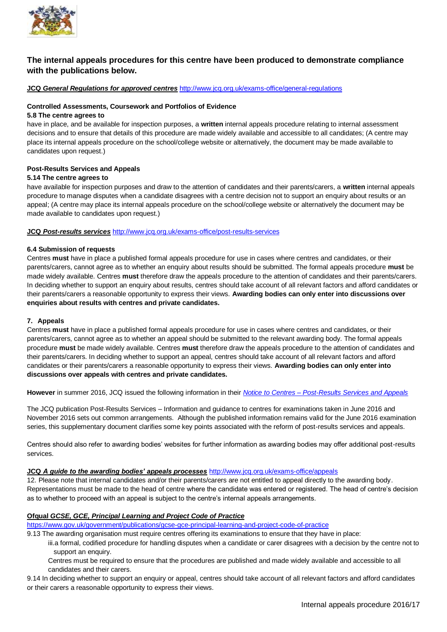

### **The internal appeals procedures for this centre have been produced to demonstrate compliance with the publications below.**

**JCQ** *General Regulations for approved centres* <http://www.jcq.org.uk/exams-office/general-regulations>

#### **Controlled Assessments, Coursework and Portfolios of Evidence**

#### **5.8 The centre agrees to**

have in place, and be available for inspection purposes, a **written** internal appeals procedure relating to internal assessment decisions and to ensure that details of this procedure are made widely available and accessible to all candidates; (A centre may place its internal appeals procedure on the school/college website or alternatively, the document may be made available to candidates upon request.)

#### **Post-Results Services and Appeals**

#### **5.14 The centre agrees to**

have available for inspection purposes and draw to the attention of candidates and their parents/carers, a **written** internal appeals procedure to manage disputes when a candidate disagrees with a centre decision not to support an enquiry about results or an appeal; (A centre may place its internal appeals procedure on the school/college website or alternatively the document may be made available to candidates upon request.)

#### **JCQ** *Post-results services* <http://www.jcq.org.uk/exams-office/post-results-services>

#### **6.4 Submission of requests**

Centres **must** have in place a published formal appeals procedure for use in cases where centres and candidates, or their parents/carers, cannot agree as to whether an enquiry about results should be submitted. The formal appeals procedure **must** be made widely available. Centres **must** therefore draw the appeals procedure to the attention of candidates and their parents/carers. In deciding whether to support an enquiry about results, centres should take account of all relevant factors and afford candidates or their parents/carers a reasonable opportunity to express their views. **Awarding bodies can only enter into discussions over enquiries about results with centres and private candidates.**

#### **7. Appeals**

Centres **must** have in place a published formal appeals procedure for use in cases where centres and candidates, or their parents/carers, cannot agree as to whether an appeal should be submitted to the relevant awarding body. The formal appeals procedure **must** be made widely available. Centres **must** therefore draw the appeals procedure to the attention of candidates and their parents/carers. In deciding whether to support an appeal, centres should take account of all relevant factors and afford candidates or their parents/carers a reasonable opportunity to express their views. **Awarding bodies can only enter into discussions over appeals with centres and private candidates.**

**However** in summer 2016, JCQ issued the following information in their *Notice to Centres – [Post-Results Services and Appeals](http://www.jcq.org.uk/exams-office/post-results-services)*

The JCQ publication Post-Results Services – Information and guidance to centres for examinations taken in June 2016 and November 2016 sets out common arrangements. Although the published information remains valid for the June 2016 examination series, this supplementary document clarifies some key points associated with the reform of post-results services and appeals.

Centres should also refer to awarding bodies' websites for further information as awarding bodies may offer additional post-results services.

#### **JCQ** *A guide to the awarding bodies' appeals processes* <http://www.jcq.org.uk/exams-office/appeals>

12. Please note that internal candidates and/or their parents/carers are not entitled to appeal directly to the awarding body. Representations must be made to the head of centre where the candidate was entered or registered. The head of centre's decision as to whether to proceed with an appeal is subject to the centre's internal appeals arrangements.

#### **Ofqual** *GCSE, GCE, Principal Learning and Project Code of Practice*

<https://www.gov.uk/government/publications/gcse-gce-principal-learning-and-project-code-of-practice>

9.13 The awarding organisation must require centres offering its examinations to ensure that they have in place:

- iii.a formal, codified procedure for handling disputes when a candidate or carer disagrees with a decision by the centre not to support an enquiry.
- Centres must be required to ensure that the procedures are published and made widely available and accessible to all candidates and their carers.
- 9.14 In deciding whether to support an enquiry or appeal, centres should take account of all relevant factors and afford candidates or their carers a reasonable opportunity to express their views.